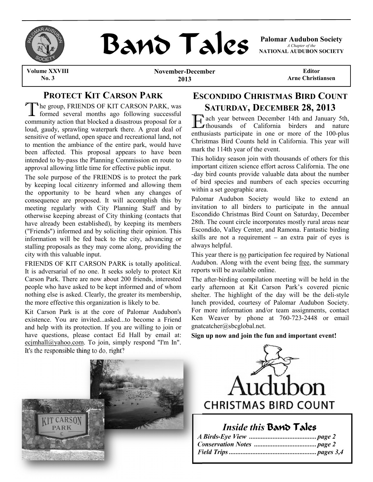

# **BAND TAILS** Palomar Audubon Society

*A Chapter of the* **NATIONAL AUDUBON SOCIETY**

**Volume XXVIII No. 3**

**November-December 2013**

**Editor Arne Christiansen**

# **PROTECT KIT CARSON PARK**

TROTECT INTERNATIONS OF TANK<br>
formed several months ago following successful<br>
The group, FRIENDS OF KIT CARSON PARK, was community action that blocked a disastrous proposal for a loud, gaudy, sprawling waterpark there. A great deal of sensitive of wetland, open space and recreational land, not to mention the ambiance of the entire park, would have been affected. This proposal appears to have been intended to by-pass the Planning Commission en route to approval allowing little time for effective public input.

The sole purpose of the FRIENDS is to protect the park by keeping local citizenry informed and allowing them the opportunity to be heard when any changes of consequence are proposed. It will accomplish this by meeting regularly with City Planning Staff and by otherwise keeping abreast of City thinking (contacts that have already been established), by keeping its members ("Friends") informed and by soliciting their opinion. This information will be fed back to the city, advancing or stalling proposals as they may come along, providing the city with this valuable input.

FRIENDS OF KIT CARSON PARK is totally apolitical. It is adversarial of no one. It seeks solely to protect Kit Carson Park. There are now about 200 friends, interested people who have asked to be kept informed and of whom nothing else is asked. Clearly, the greater its membership, the more effective this organization is likely to be.

Kit Carson Park is at the core of Palomar Audubon's existence. You are invited...asked...to become a Friend and help with its protection. If you are willing to join or have questions, please contact Ed Hall by email at: ecjmhall@yahoo.com. To join, simply respond "I'm In". It's the responsible thing to do, right?

# **ESCONDIDO CHRISTMAS BIRD COUNT SATURDAY, DECEMBER 28, 2013**

**Example 2018** ach year between December 14th and January 5th, thousands of California birders and nature enthusiasts participate in one or more of the 100-plus Christmas Bird Counts held in California. This year will mark the 114th year of the event.

This holiday season join with thousands of others for this important citizen science effort across California. The one -day bird counts provide valuable data about the number of bird species and numbers of each species occurring within a set geographic area.

Palomar Audubon Society would like to extend an invitation to all birders to participate in the annual Escondido Christmas Bird Count on Saturday, December 28th. The count circle incorporates mostly rural areas near Escondido, Valley Center, and Ramona. Fantastic birding skills are not a requirement – an extra pair of eyes is always helpful.

This year there is no participation fee required by National Audubon. Along with the event being free, the summary reports will be available online.

The after-birding compilation meeting will be held in the early afternoon at Kit Carson Park's covered picnic shelter. The highlight of the day will be the deli-style lunch provided, courtesy of Palomar Audubon Society. For more information and/or team assignments, contact Ken Weaver by phone at 760-723-2448 or email gnatcatcher@sbcglobal.net.

**Sign up now and join the fun and important event!** 





# *Inside this* Band Tales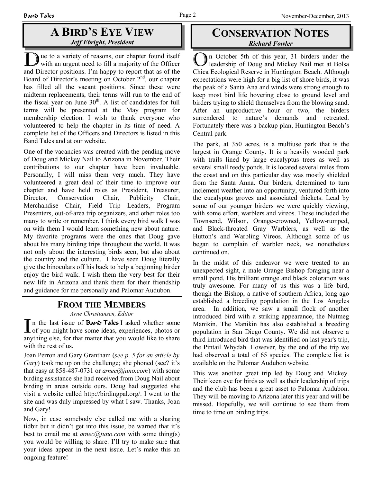# **A BIRD'S EYE VIEW** *Jeff Ebright, President*

Due to a variety of reasons, our chapter found itself with an urgent need to fill a majority of the Officer and Director positions. I'm happy to report that as of the Board of Director's meeting on October  $2<sup>nd</sup>$ , our chapter has filled all the vacant positions. Since these were midterm replacements, their terms will run to the end of the fiscal year on June  $30<sup>th</sup>$ . A list of candidates for full terms will be presented at the May program for membership election. I wish to thank everyone who volunteered to help the chapter in its time of need. A complete list of the Officers and Directors is listed in this Band Tales and at our website.

One of the vacancies was created with the pending move of Doug and Mickey Nail to Arizona in November. Their contributions to our chapter have been invaluable. Personally, I will miss them very much. They have volunteered a great deal of their time to improve our chapter and have held roles as President, Treasurer, Director, Conservation Chair, Publicity Chair, Merchandise Chair, Field Trip Leaders, Program Presenters, out-of-area trip organizers, and other roles too many to write or remember. I think every bird walk I was on with them I would learn something new about nature. My favorite programs were the ones that Doug gave about his many birding trips throughout the world. It was not only about the interesting birds seen, but also about the country and the culture. I have seen Doug literally give the binoculars off his back to help a beginning birder enjoy the bird walk. I wish them the very best for their new life in Arizona and thank them for their friendship and guidance for me personally and Palomar Audubon.

### **FROM THE MEMBERS**

*Arne Christiansen, Editor*

*Arne Christiansen, Eattor*<br> **T** in the last issue of **Band Tales** I asked whether some<br>
of you might have some ideas, experiences, photos or anything else, for that matter that you would like to share with the rest of us.

Joan Perron and Gary Grantham (*see p. 5 for an article by Gary*) took me up on the challenge; she phoned (see? it's that easy at 858-487-0731 or *arnec@juno.com*) with some birding assistance she had received from Doug Nail about birding in areas outside ours. Doug had suggested she visit a website called http://birdingpal.org/. I went to the site and was duly impressed by what I saw. Thanks, Joan and Gary!

Now, in case somebody else called me with a sharing tidbit but it didn't get into this issue, be warned that it's best to email me at *arnec@juno.com* with some thing(s) you would be willing to share. I'll try to make sure that your ideas appear in the next issue. Let's make this an ongoing feature!

# **CONSERVATION NOTES** *Richard Fowler*

In October 5th of this year, 31 birders under the leadership of Doug and Mickey Nail met at Bolsa Chica Ecological Reserve in Huntington Beach. Although expectations were high for a big list of shore birds, it was the peak of a Santa Ana and winds were strong enough to keep most bird life hovering close to ground level and birders trying to shield themselves from the blowing sand. After an unproductive hour or two, the birders surrendered to nature's demands and retreated. Fortunately there was a backup plan, Huntington Beach's Central park.

The park, at 350 acres, is a multiuse park that is the largest in Orange County. It is a heavily wooded park with trails lined by large eucalyptus trees as well as several small reedy ponds. It is located several miles from the coast and on this particular day was mostly shielded from the Santa Anna. Our birders, determined to turn inclement weather into an opportunity, ventured forth into the eucalyptus groves and associated thickets. Lead by some of our younger birders we were quickly viewing, with some effort, warblers and vireos. These included the Townsend, Wilson, Orange-crowned, Yellow-rumped, and Black-throated Gray Warblers, as well as the Hutton's and Warbling Vireos. Although some of us began to complain of warbler neck, we nonetheless continued on.

In the midst of this endeavor we were treated to an unexpected sight, a male Orange Bishop foraging near a small pond. His brilliant orange and black coloration was truly awesome. For many of us this was a life bird, though the Bishop, a native of southern Africa, long ago established a breeding population in the Los Angeles area. In addition, we saw a small flock of another introduced bird with a striking appearance, the Nutmeg Manikin. The Manikin has also established a breeding population in San Diego County. We did not observe a third introduced bird that was identified on last year's trip, the Pintail Whydah. However, by the end of the trip we had observed a total of 65 species. The complete list is available on the Palomar Audubon website.

This was another great trip led by Doug and Mickey. Their keen eye for birds as well as their leadership of trips and the club has been a great asset to Palomar Audubon. They will be moving to Arizona later this year and will be missed. Hopefully, we will continue to see them from time to time on birding trips.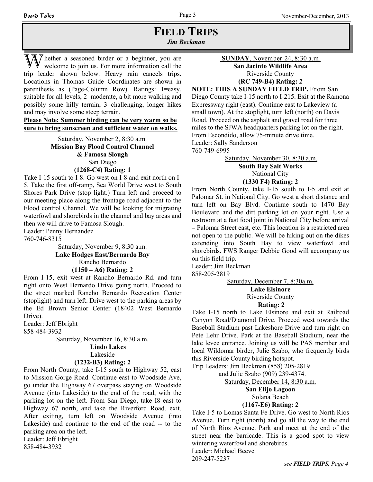### **FIELD TRIPS** *Jim Beckman*

The ther a seasoned birder or a beginner, you are welcome to join us. For more information call the trip leader shown below. Heavy rain cancels trips. Locations in Thomas Guide Coordinates are shown in parenthesis as (Page-Column Row). Ratings: 1=easy, suitable for all levels, 2=moderate, a bit more walking and possibly some hilly terrain, 3=challenging, longer hikes and may involve some steep terrain.

**Please Note: Summer birding can be very warm so be sure to bring sunscreen and sufficient water on walks.**

> Saturday, November 2, 8:30 a.m. **Mission Bay Flood Control Channel & Famosa Slough** San Diego **(1268-C4) Rating: 1**

Take I-15 south to I-8. Go west on I-8 and exit north on I-5. Take the first off-ramp, Sea World Drive west to South Shores Park Drive (stop light.) Turn left and proceed to our meeting place along the frontage road adjacent to the Flood control Channel. We will be looking for migrating waterfowl and shorebirds in the channel and bay areas and then we will drive to Famosa Slough.

Leader: Penny Hernandez

760-746-8315

Saturday, November 9, 8:30 a.m. **Lake Hodges East/Bernardo Bay** Rancho Bernardo

### **(1150 – A6) Rating: 2**

From I-15, exit west at Rancho Bernardo Rd. and turn right onto West Bernardo Drive going north. Proceed to the street marked Rancho Bernardo Recreation Center (stoplight) and turn left. Drive west to the parking areas by the Ed Brown Senior Center (18402 West Bernardo Drive).

Leader: Jeff Ebright 858-484-3932

> Saturday, November 16, 8:30 a.m. **Lindo Lakes** Lakeside

#### **(1232-B3) Rating: 2**

From North County, take I-15 south to Highway 52, east to Mission Gorge Road. Continue east to Woodside Ave, go under the Highway 67 overpass staying on Woodside Avenue (into Lakeside) to the end of the road, with the parking lot on the left. From San Diego, take I8 east to Highway 67 north, and take the Riverford Road. exit. After exiting, turn left on Woodside Avenue (into Lakeside) and continue to the end of the road -- to the parking area on the left. Leader: Jeff Ebright

858-484-3932

 **SUNDAY**, November 24, 8:30 a.m.

**San Jacinto Wildlife Area** Riverside County **(RC 749-B4) Rating: 2**

**NOTE: THIS A SUNDAY FIELD TRIP.** From San Diego County take I-15 north to I-215. Exit at the Ramona Expressway right (east). Continue east to Lakeview (a small town). At the stoplight, turn left (north) on Davis Road. Proceed on the asphalt and gravel road for three miles to the SJWA headquarters parking lot on the right. From Escondido, allow 75-minute drive time. Leader: Sally Sanderson

760-749-6995

Saturday, November 30, 8:30 a.m.

### **South Bay Salt Works**

National City

#### **(1330 F4) Rating: 2**

From North County, take I-15 south to I-5 and exit at Palomar St. in National City. Go west a short distance and turn left on Bay Blvd. Continue south to 1470 Bay Boulevard and the dirt parking lot on your right. Use a restroom at a fast food joint in National City before arrival – Palomar Street east, etc. This location is a restricted area not open to the public. We will be hiking out on the dikes extending into South Bay to view waterfowl and shorebirds. FWS Ranger Debbie Good will accompany us on this field trip.

Leader: Jim Beckman

858-205-2819

### Saturday, December 7, 8:30a.m.

**Lake Elsinore** Riverside County

### **Rating: 2**

Take I-15 north to Lake Elsinore and exit at Railroad Canyon Road/Diamond Drive. Proceed west towards the Baseball Stadium past Lakeshore Drive and turn right on Pete Lehr Drive. Park at the Baseball Stadium, near the lake levee entrance. Joining us will be PAS member and local Wildomar birder, Julie Szabo, who frequently birds this Riverside County birding hotspot.

Trip Leaders: Jim Beckman (858) 205-2819

and Julie Szabo (909) 239-4374.

Saturday, December 14, 8:30 a.m.

### **San Elijo Lagoon**

## Solana Beach

### **(1167-E6) Rating: 2**

Take I-5 to Lomas Santa Fe Drive. Go west to North Rios Avenue. Turn right (north) and go all the way to the end of North Rios Avenue. Park and meet at the end of the street near the barricade. This is a good spot to view wintering waterfowl and shorebirds. Leader: Michael Beeve

209-247-5237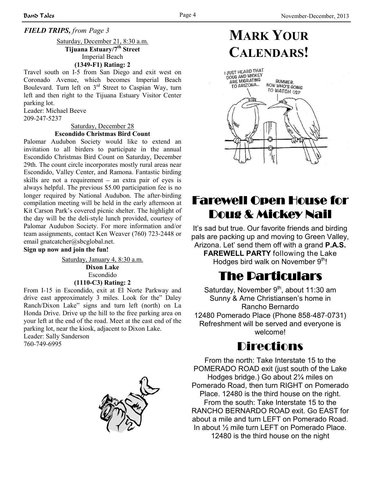### *FIELD TRIPS, from Page 3*

Saturday, December 21, 8:30 a.m. **Tijuana Estuary/7th Street** Imperial Beach **(1349-F1) Rating: 2**

Travel south on I-5 from San Diego and exit west on Coronado Avenue, which becomes Imperial Beach Boulevard. Turn left on  $3<sup>rd</sup>$  Street to Caspian Way, turn left and then right to the Tijuana Estuary Visitor Center parking lot.

Leader: Michael Beeve 209-247-5237

#### Saturday, December 28 **Escondido Christmas Bird Count**

Palomar Audubon Society would like to extend an invitation to all birders to participate in the annual Escondido Christmas Bird Count on Saturday, December 29th. The count circle incorporates mostly rural areas near Escondido, Valley Center, and Ramona. Fantastic birding skills are not a requirement – an extra pair of eyes is always helpful. The previous \$5.00 participation fee is no longer required by National Audubon. The after-birding compilation meeting will be held in the early afternoon at Kit Carson Park's covered picnic shelter. The highlight of the day will be the deli-style lunch provided, courtesy of Palomar Audubon Society. For more information and/or team assignments, contact Ken Weaver (760) 723-2448 or email gnatcatcher@sbcglobal.net.

#### **Sign up now and join the fun!**

Saturday, January 4, 8:30 a.m. **Dixon Lake** Escondido **(1110-C3) Rating: 2**

From I-15 in Escondido, exit at El Norte Parkway and drive east approximately 3 miles. Look for the" Daley Ranch/Dixon Lake" signs and turn left (north) on La Honda Drive. Drive up the hill to the free parking area on your left at the end of the road. Meet at the east end of the parking lot, near the kiosk, adjacent to Dixon Lake. Leader: Sally Sanderson

760-749-6995



# **MARK YOUR CALENDARS!**



# **Farewell Open House for** Doug & Mickey Nail

It's sad but true. Our favorite friends and birding pals are packing up and moving to Green Valley, Arizona. Let' send them off with a grand **P.A.S. FAREWELL PARTY** following the Lake Hodges bird walk on November 9<sup>th</sup>!

# The Particulars

Saturday, November  $9<sup>th</sup>$ , about 11:30 am Sunny & Arne Christiansen's home in Rancho Bernardo 12480 Pomerado Place (Phone 858-487-0731) Refreshment will be served and everyone is welcome!

# Directions

From the north: Take Interstate 15 to the POMERADO ROAD exit (just south of the Lake Hodges bridge.) Go about 2¼ miles on Pomerado Road, then turn RIGHT on Pomerado Place. 12480 is the third house on the right. From the south: Take Interstate 15 to the RANCHO BERNARDO ROAD exit. Go EAST for about a mile and turn LEFT on Pomerado Road. In about ½ mile turn LEFT on Pomerado Place. 12480 is the third house on the night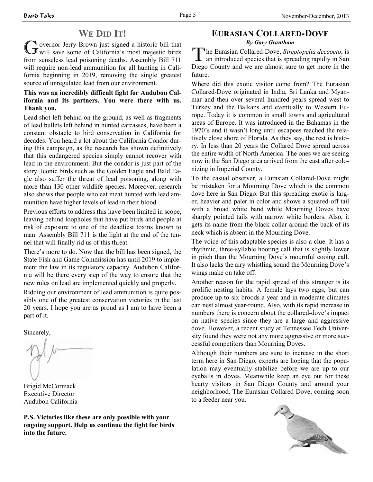# **WE DID IT!**

WE DID 11.<br>
G overnor Jerry Brown just signed a historic bill that<br>
will save some of California's most majestic birds from senseless lead poisoning deaths. Assembly Bill 711 will require non-lead ammunition for all hunting in California beginning in 2019, removing the single greatest source of unregulated lead from our environment.

### **This was an incredibly difficult fight for Audubon California and its partners. You were there with us. Thank you.**

Lead shot left behind on the ground, as well as fragments of lead bullets left behind in hunted carcasses, have been a constant obstacle to bird conservation in California for decades. You heard a lot about the California Condor during this campaign, as the research has shown definitively that this endangered species simply cannot recover with lead in the environment. But the condor is just part of the story. Iconic birds such as the Golden Eagle and Bald Eagle also suffer the threat of lead poisoning, along with more than 130 other wildlife species. Moreover, research also shows that people who eat meat hunted with lead ammunition have higher levels of lead in their blood.

Previous efforts to address this have been limited in scope, leaving behind loopholes that have put birds and people at risk of exposure to one of the deadliest toxins known to man. Assembly Bill 711 is the light at the end of the tunnel that will finally rid us of this threat.

There's more to do. Now that the bill has been signed, the State Fish and Game Commission has until 2019 to implement the law in its regulatory capacity. Audubon California will be there every step of the way to ensure that the new rules on lead are implemented quickly and properly.

Ridding our environment of lead ammunition is quite possibly one of the greatest conservation victories in the last 20 years. I hope you are as proud as I am to have been a part of it.

Sincerely,

Brigid McCormack Executive Director Audubon California

**P.S. Victories like these are only possible with your ongoing support. Help us continue the fight for birds into the future.**

### **EURASIAN COLLARED-DOVE** *By Gary Grantham*

**The Eurasian Collared-Dove**, *Streptopelia decaocto*, is<br>
an introduced species that is spreading rapidly in San Diego County and we are almost sure to get more in the future.

Where did this exotic visitor come from? The Eurasian Collared-Dove originated in India, Sri Lanka and Myanmar and then over several hundred years spread west to Turkey and the Balkans and eventually to Western Europe. Today it is common in small towns and agricultural areas of Europe. It was introduced in the Bahamas in the 1970's and it wasn't long until escapees reached the relatively close shore of Florida. As they say, the rest is history. In less than 20 years the Collared Dove spread across the entire width of North America. The ones we are seeing now in the San Diego area arrived from the east after colonizing in Imperial County.

To the casual observer, a Eurasian Collared-Dove might be mistaken for a Mourning Dove which is the common dove here in San Diego. But this spreading exotic is larger, heavier and paler in color and shows a squared-off tail with a broad white band while Mourning Doves have sharply pointed tails with narrow white borders. Also, it gets its name from the black collar around the back of its neck which is absent in the Mourning Dove.

The voice of this adaptable species is also a clue. It has a rhythmic, three-syllable hooting call that is slightly lower in pitch than the Mourning Dove's mournful cooing call. It also lacks the airy whistling sound the Mourning Dove's wings make on take off.

Another reason for the rapid spread of this stranger is its prolific nesting habits. A female lays two eggs, but can produce up to six broods a year and in moderate climates can nest almost year-round. Also, with its rapid increase in numbers there is concern about the collared-dove's impact on native species since they are a large and aggressive dove. However, a recent study at Tennessee Tech University found they were not any more aggressive or more successful competitors than Mourning Doves.

Although their numbers are sure to increase in the short term here in San Diego, experts are hoping that the population may eventually stabilize before we are up to our eyeballs in doves. Meanwhile keep an eye out for these hearty visitors in San Diego County and around your neighborhood. The Eurasian Collared-Dove, coming soon to a feeder near you.

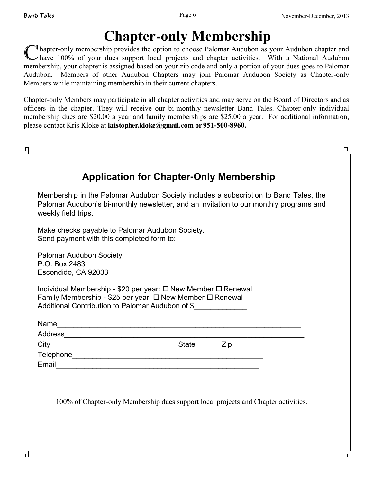# **Chapter-only Membership**

**I** hapter-only membership provides the option to choose Palomar Audubon as your Audubon chapter and have 100% of your dues support local projects and chapter activities. With a National Audubon membership, your chapter is assigned based on your zip code and only a portion of your dues goes to Palomar Audubon. Members of other Audubon Chapters may join Palomar Audubon Society as Chapter-only Members while maintaining membership in their current chapters.

Chapter-only Members may participate in all chapter activities and may serve on the Board of Directors and as officers in the chapter. They will receive our bi-monthly newsletter Band Tales. Chapter-only individual membership dues are \$20.00 a year and family memberships are \$25.00 a year. For additional information, please contact Kris Kloke at **kristopher.kloke@gmail.com or 951-500-8960.**

|                                                                        | <b>Application for Chapter-Only Membership</b>                                                                                                                                 |                                                                                                                                                                                |  |
|------------------------------------------------------------------------|--------------------------------------------------------------------------------------------------------------------------------------------------------------------------------|--------------------------------------------------------------------------------------------------------------------------------------------------------------------------------|--|
| weekly field trips.                                                    |                                                                                                                                                                                | Membership in the Palomar Audubon Society includes a subscription to Band Tales, the<br>Palomar Audubon's bi-monthly newsletter, and an invitation to our monthly programs and |  |
| Send payment with this completed form to:                              | Make checks payable to Palomar Audubon Society.                                                                                                                                |                                                                                                                                                                                |  |
| <b>Palomar Audubon Society</b><br>P.O. Box 2483<br>Escondido, CA 92033 |                                                                                                                                                                                |                                                                                                                                                                                |  |
|                                                                        | Individual Membership - \$20 per year: □ New Member □ Renewal<br>Family Membership - \$25 per year: □ New Member □ Renewal<br>Additional Contribution to Palomar Audubon of \$ |                                                                                                                                                                                |  |
|                                                                        |                                                                                                                                                                                |                                                                                                                                                                                |  |
|                                                                        |                                                                                                                                                                                |                                                                                                                                                                                |  |
|                                                                        |                                                                                                                                                                                |                                                                                                                                                                                |  |
|                                                                        |                                                                                                                                                                                |                                                                                                                                                                                |  |
|                                                                        |                                                                                                                                                                                |                                                                                                                                                                                |  |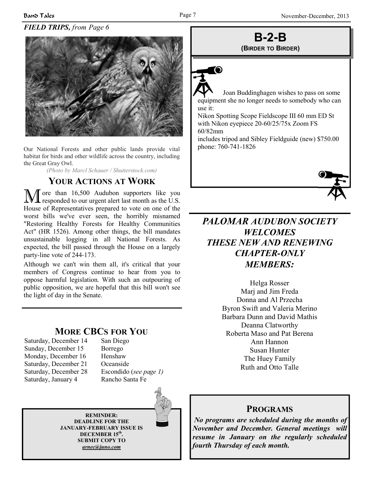### *FIELD TRIPS, from Page 6*

l - 70



Our National Forests and other public lands provide vital habitat for birds and other wildlife across the country, including the Great Gray Owl.

*(Photo by Marcl Schauer / Shutterstock.com)*

## **YOUR ACTIONS AT WORK**

M ore than 16,500 Audubon supporters like you responded to our urgent alert last month as the U.S. House of Representatives prepared to vote on one of the worst bills we've ever seen, the horribly misnamed "Restoring Healthy Forests for Healthy Communities Act" (HR 1526). Among other things, the bill mandates unsustainable logging in all National Forests. As expected, the bill passed through the House on a largely party-line vote of 244-173.

Although we can't win them all, it's critical that your members of Congress continue to hear from you to oppose harmful legislation. With such an outpouring of public opposition, we are hopeful that this bill won't see the light of day in the Senate.

### **MORE CBCS FOR YOU**

- Saturday, December 14 San Diego Sunday, December 15 Borrego Monday, December 16 Henshaw Saturday, December 21 Oceanside Saturday, December 28 Escondido (*see page 1)* Saturday, January 4 Rancho Santa Fe
- 

**REMINDER: DEADLINE FOR THE JANUARY-FEBRUARY ISSUE IS DECEMBER 15th . SUBMIT COPY TO** *arnec@juno.com*

## **B-2-B (BIRDER TO BIRDER)**

 Joan Buddinghagen wishes to pass on some equipment she no longer needs to somebody who can use it:

Nikon Spotting Scope Fieldscope III 60 mm ED St with Nikon eyepiece 20-60/25/75x Zoom FS 60/82mm

includes tripod and Sibley Fieldguide (new) \$750.00 phone: 760-741-1826



# *PALOMAR AUDUBON SOCIETY WELCOMES THESE NEW AND RENEWING CHAPTER-ONLY MEMBERS:*

Helga Rosser Marj and Jim Freda Donna and Al Przecha Byron Swift and Valeria Merino Barbara Dunn and David Mathis Deanna Clatworthy Roberta Maso and Pat Berena Ann Hannon Susan Hunter The Huey Family Ruth and Otto Talle

### **PROGRAMS**

*No programs are scheduled during the months of November and December. General meetings will resume in January on the regularly scheduled fourth Thursday of each month.*